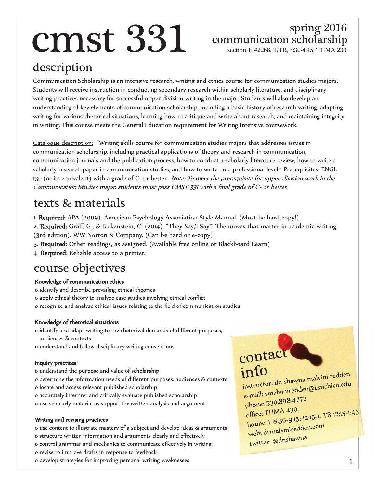# $\text{cms}$ <sup>spring 2016</sup><br>communication scholarship<br>section 1. #2268. T/TR. 3:30-4:45. THMA 230

### spring 2016

section 1, #2268, T/TR, 3:30-4:45, THMA 230

#### description

Communication Scholarship is an intensive research, writing and ethics course for communication studies majors. Students will receive instruction in conducting secondary research within scholarly literature, and disciplinary writing practices necessary for successful upper division writing in the major. Students will also develop an understanding of key elements of communication scholarship, including a basic history of research writing, adapting writing for various rhetorical situations, learning how to critique and write about research, and maintaining integrity in writing. This course meets the General Education requirement for Writing Intensive coursework.

Catalogue description: "Writing skills course for communication studies majors that addresses issues in communication scholarship, including practical applications of theory and research in communication, communication journals and the publication process, how to conduct a scholarly literature review, how to write a scholarly research paper in communication studies, and how to write on a professional level." Prerequisites: ENGL 130 (or its equivalent) with a grade of C- or better. Note: To meet the prerequisite for upper-division work in the Communication Studies major, students must pass CMST 331 with a final grade of C- or better.

#### texts & materials

- 1. Required: APA (2009). American Psychology Association Style Manual. (Must be hard copy!)
- 2. Required: Graff, G., & Birkenstein, C. (2014). "They Say/I Say": The moves that matter in academic writing (3rd edition). WW Norton & Company. (Can be hard or e-copy)
- 3. Required: Other readings, as assigned. (Available free online or Blackboard Learn)
- 4. Required: Reliable access to a printer.

#### course objectives

#### Knowledge of communication ethics

o identify and describe prevailing ethical theories o apply ethical theory to analyze case studies involving ethical conflict o recognize and analyze ethical issues relating to the field of communication studies

#### Knowledge of rhetorical situations

o identify and adapt writing to the rhetorical demands of different purposes, audiences & contexts

o understand and follow disciplinary writing conventions

#### Inquiry practices

- o understand the purpose and value of scholarship
- o determine the information needs of different purposes, audiences & contexts
- o locate and access relevant published scholarship
- o accurately interpret and critically evaluate published scholarship
- o use scholarly material as support for written analysis and argument

#### Writing and revising practices

o use content to illustrate mastery of a subject and develop ideas & arguments o structure written information and arguments clearly and effectively o control grammar and mechanics to communicate effectively in writing o revise to improve drafts in response to feedback

o develop strategies for improving personal writing weaknesses

contact info instructor: dr. shawna malvini redden e-mail: smalviniredden@csuchico.edu phone: 530.898.4772 office: THMA 430 hours: T 8:30-9:15; 12:15-1, TR 12:15-1:45 web: drmalviniredden.com twitter: @dr.shawna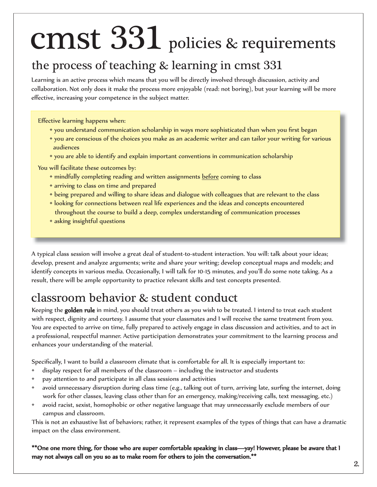## CMSt 331 policies & requirements

#### the process of teaching & learning in cmst 331

Learning is an active process which means that you will be directly involved through discussion, activity and collaboration. Not only does it make the process more enjoyable (read: not boring), but your learning will be more effective, increasing your competence in the subject matter.

Effective learning happens when:

- you understand communication scholarship in ways more sophisticated than when you first began
- you are conscious of the choices you make as an academic writer and can tailor your writing for various audiences
- you are able to identify and explain important conventions in communication scholarship

You will facilitate these outcomes by:

- mindfully completing reading and written assignments before coming to class
- arriving to class on time and prepared
- being prepared and willing to share ideas and dialogue with colleagues that are relevant to the class
- looking for connections between real life experiences and the ideas and concepts encountered throughout the course to build a deep, complex understanding of communication processes
- asking insightful questions

A typical class session will involve a great deal of student-to-student interaction. You will: talk about your ideas; develop, present and analyze arguments; write and share your writing; develop conceptual maps and models; and identify concepts in various media. Occasionally, I will talk for 10-15 minutes, and you'll do some note taking. As a result, there will be ample opportunity to practice relevant skills and test concepts presented.

#### classroom behavior & student conduct

Keeping the **golden rule** in mind, you should treat others as you wish to be treated. I intend to treat each student with respect, dignity and courtesy. I assume that your classmates and I will receive the same treatment from you. You are expected to arrive on time, fully prepared to actively engage in class discussion and activities, and to act in a professional, respectful manner. Active participation demonstrates your commitment to the learning process and enhances your understanding of the material.

Specifically, I want to build a classroom climate that is comfortable for all. It is especially important to:

- display respect for all members of the classroom including the instructor and students
- pay attention to and participate in all class sessions and activities
- avoid unnecessary disruption during class time (e.g., talking out of turn, arriving late, surfing the internet, doing work for other classes, leaving class other than for an emergency, making/receiving calls, text messaging, etc.)
- avoid racist, sexist, homophobic or other negative language that may unnecessarily exclude members of our campus and classroom.

This is not an exhaustive list of behaviors; rather, it represent examples of the types of things that can have a dramatic impact on the class environment.

\*\*One one more thing, for those who are super comfortable speaking in class—yay! However, please be aware that I may not always call on you so as to make room for others to join the conversation.\*\*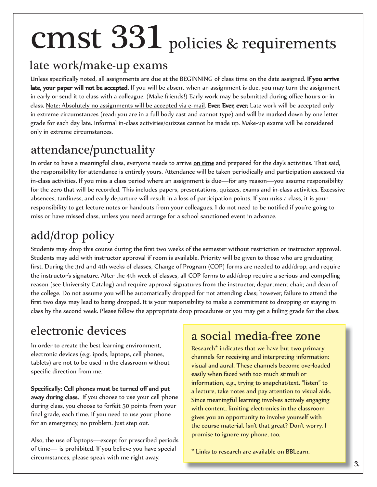## cmst 331 policies & requirements

#### late work/make-up exams

Unless specifically noted, all assignments are due at the BEGINNING of class time on the date assigned. If you arrive late, your paper will not be accepted. If you will be absent when an assignment is due, you may turn the assignment in early or send it to class with a colleague. (Make friends!) Early work may be submitted during office hours or in class. Note: Absolutely no assignments will be accepted via e-mail. Ever. Ever, ever. Late work will be accepted only in extreme circumstances (read: you are in a full body cast and cannot type) and will be marked down by one letter grade for each day late. Informal in-class activities/quizzes cannot be made up. Make-up exams will be considered only in extreme circumstances.

#### attendance/punctuality

In order to have a meaningful class, everyone needs to arrive on time and prepared for the day's activities. That said, the responsibility for attendance is entirely yours. Attendance will be taken periodically and participation assessed via in-class activities. If you miss a class period where an assignment is due—for any reason—you assume responsibility for the zero that will be recorded. This includes papers, presentations, quizzes, exams and in-class activities. Excessive absences, tardiness, and early departure will result in a loss of participation points. If you miss a class, it is your responsibility to get lecture notes or handouts from your colleagues. I do not need to be notified if you're going to miss or have missed class, unless you need arrange for a school sanctioned event in advance.

### add/drop policy

Students may drop this course during the first two weeks of the semester without restriction or instructor approval. Students may add with instructor approval if room is available. Priority will be given to those who are graduating first. During the 3rd and 4th weeks of classes, Change of Program (COP) forms are needed to add/drop, and require the instructor's signature. After the 4th week of classes, all COP forms to add/drop require a serious and compelling reason (see University Catalog) and require approval signatures from the instructor, department chair, and dean of the college. Do not assume you will be automatically dropped for not attending class; however, failure to attend the first two days may lead to being dropped. It is your responsibility to make a commitment to dropping or staying in class by the second week. Please follow the appropriate drop procedures or you may get a failing grade for the class.

#### electronic devices

In order to create the best learning environment, electronic devices (e.g. ipods, laptops, cell phones, tablets) are not to be used in the classroom without specific direction from me.

#### Specifically: Cell phones must be turned off and put away during class. If you choose to use your cell phone during class, you choose to forfeit 50 points from your final grade, each time. If you need to use your phone for an emergency, no problem. Just step out.

Also, the use of laptops—except for prescribed periods of time— is prohibited. If you believe you have special circumstances, please speak with me right away.

#### a social media-free zone

Research\* indicates that we have but two primary channels for receiving and interpreting information: visual and aural. These channels become overloaded easily when faced with too much stimuli or information, e.g., trying to snapchat/text, "listen" to a lecture, take notes and pay attention to visual aids. Since meaningful learning involves actively engaging with content, limiting electronics in the classroom gives you an opportunity to involve yourself with the course material. Isn't that great? Don't worry, I promise to ignore my phone, too.

\* Links to research are available on BBLearn.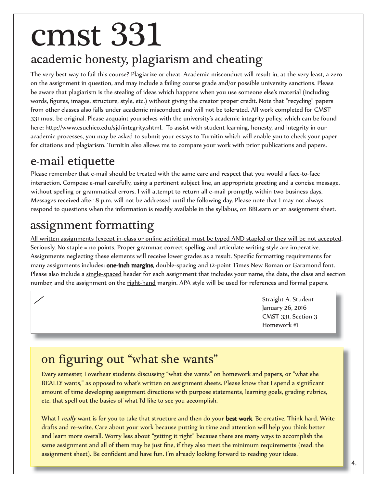## cmst 331

### academic honesty, plagiarism and cheating

The very best way to fail this course? Plagiarize or cheat. Academic misconduct will result in, at the very least, a zero on the assignment in question, and may include a failing course grade and/or possible university sanctions. Please be aware that plagiarism is the stealing of ideas which happens when you use someone else's material (including words, figures, images, structure, style, etc.) without giving the creator proper credit. Note that "recycling" papers from other classes also falls under academic misconduct and will not be tolerated. All work completed for CMST 331 must be original. Please acquaint yourselves with the university's academic integrity policy, which can be found here: http://www.csuchico.edu/sjd/integrity.shtml. To assist with student learning, honesty, and integrity in our academic processes, you may be asked to submit your essays to Turnitin which will enable you to check your paper for citations and plagiarism. TurnItIn also allows me to compare your work with prior publications and papers.

#### e-mail etiquette

ſ

 $\overline{a}$ 

Please remember that e-mail should be treated with the same care and respect that you would a face-to-face interaction. Compose e-mail carefully, using a pertinent subject line, an appropriate greeting and a concise message, without spelling or grammatical errors. I will attempt to return all e-mail promptly, within two business days. Messages received after 8 p.m. will not be addressed until the following day. Please note that I may not always respond to questions when the information is readily available in the syllabus, on BBLearn or an assignment sheet.

### assignment formatting

All written assignments (except in-class or online activities) must be typed AND stapled or they will be not accepted. Seriously. No staple = no points. Proper grammar, correct spelling and articulate writing style are imperative. Assignments neglecting these elements will receive lower grades as a result. Specific formatting requirements for many assignments includes: one-inch margins, double-spacing and 12-point Times New Roman or Garamond font. Please also include a single-spaced header for each assignment that includes your name, the date, the class and section number, and the assignment on the right-hand margin. APA style will be used for references and formal papers.

> Straight A. Student January 26, 2016 CMST 331, Section 3 Homework #1

### on figuring out "what she wants"

Every semester, I overhear students discussing "what she wants" on homework and papers, or "what she REALLY wants," as opposed to what's written on assignment sheets. Please know that I spend a significant amount of time developing assignment directions with purpose statements, learning goals, grading rubrics, etc. that spell out the basics of what I'd like to see you accomplish.

What I really want is for you to take that structure and then do your best work. Be creative. Think hard. Write drafts and re-write. Care about your work because putting in time and attention will help you think better and learn more overall. Worry less about "getting it right" because there are many ways to accomplish the same assignment and all of them may be just fine, if they also meet the minimum requirements (read: the assignment sheet). Be confident and have fun. I'm already looking forward to reading your ideas.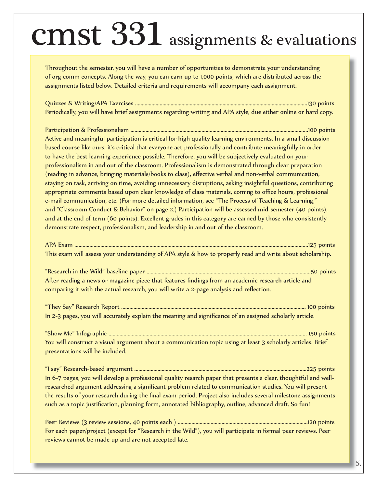### cmst 331 assignments & evaluations

Throughout the semester, you will have a number of opportunities to demonstrate your understanding of org comm concepts. Along the way, you can earn up to 1,000 points, which are distributed across the assignments listed below. Detailed criteria and requirements will accompany each assignment.

Quizzes & Writing/APA Exercises ..............................................................................................................................130 points Periodically, you will have brief assignments regarding writing and APA style, due either online or hard copy.

Participation & Professionalism ..................................................................................................................................100 points Active and meaningful participation is critical for high quality learning environments. In a small discussion based course like ours, it's critical that everyone act professionally and contribute meaningfully in order to have the best learning experience possible. Therefore, you will be subjectively evaluated on your professionalism in and out of the classroom. Professionalism is demonstrated through clear preparation (reading in advance, bringing materials/books to class), effective verbal and non-verbal communication, staying on task, arriving on time, avoiding unnecessary disruptions, asking insightful questions, contributing appropriate comments based upon clear knowledge of class materials, coming to office hours, professional e-mail communication, etc. (For more detailed information, see "The Process of Teaching & Learning," and "Classroom Conduct & Behavior" on page 2.) Participation will be assessed mid-semester (40 points), and at the end of term (60 points). Excellent grades in this category are earned by those who consistently demonstrate respect, professionalism, and leadership in and out of the classroom.

|  | This exam will assess your understanding of APA style & how to properly read and write about scholarship. |  |  |  |  |
|--|-----------------------------------------------------------------------------------------------------------|--|--|--|--|

"Research in the Wild" baseline paper ........................................................................................................................50 points After reading a news or magazine piece that features findings from an academic research article and comparing it with the actual research, you will write a 2-page analysis and reflection.

"They Say" Research Report ....................................................................................................................................... 100 points In 2-3 pages, you will accurately explain the meaning and significance of an assigned scholarly article.

"Show Me" Infographic ................................................................................................................................................. 150 points You will construct a visual argument about a communication topic using at least 3 scholarly articles. Brief presentations will be included.

"I say" Research-based argument ..............................................................................................................................225 points In 6-7 pages, you will develop a professional quality resarch paper that presents a clear, thoughtful and wellresearched argument addressing a significant problem related to communication studies. You will present the results of your research during the final exam period. Project also includes several milestone assignments such as a topic justification, planning form, annotated bibliography, outline, advanced draft. So fun!

Peer Reviews (3 review sessions, 40 points each ) ...............................................................................................120 points For each paper/project (except for "Research in the Wild"), you will participate in formal peer reviews. Peer reviews cannot be made up and are not accepted late.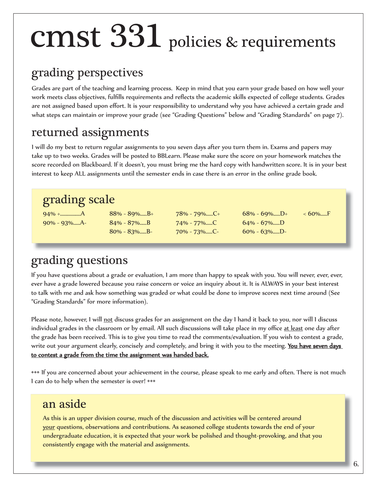## cmst 331 policies & requirements

#### grading perspectives

Grades are part of the teaching and learning process. Keep in mind that you earn your grade based on how well your work meets class objectives, fulfills requirements and reflects the academic skills expected of college students. Grades are not assigned based upon effort. It is your responsibility to understand why you have achieved a certain grade and what steps can maintain or improve your grade (see "Grading Questions" below and "Grading Standards" on page 7).

#### returned assignments

I will do my best to return regular assignments to you seven days after you turn them in. Exams and papers may take up to two weeks. Grades will be posted to BBLearn. Please make sure the score on your homework matches the score recorded on Blackboard. If it doesn't, you must bring me the hard copy with handwritten score. It is in your best interest to keep ALL assignments until the semester ends in case there is an error in the online grade book.

#### grading scale

90% - 93%.....A- 84% - 87%.....B 74% - 77%.....C 64% - 67%.....D

94% +...............A 88% - 89%.....B+ 78% - 79%.....C+ 68% - 69%.....D+ < 60%.....F 80% - 83%.....B- 70% - 73%.....C- 60% - 63%.....D-

### grading questions

If you have questions about a grade or evaluation, I am more than happy to speak with you. You will never, ever, ever, ever have a grade lowered because you raise concern or voice an inquiry about it. It is ALWAYS in your best interest to talk with me and ask how something was graded or what could be done to improve scores next time around (See "Grading Standards" for more information).

Please note, however, I will not discuss grades for an assignment on the day I hand it back to you, nor will I discuss individual grades in the classroom or by email. All such discussions will take place in my office at least one day after the grade has been received. This is to give you time to read the comments/evaluation. If you wish to contest a grade, write out your argument clearly, concisely and completely, and bring it with you to the meeting. You have seven days to contest a grade from the time the assignment was handed back.

••• If you are concerned about your achievement in the course, please speak to me early and often. There is not much I can do to help when the semester is over! •••

#### an aside

As this is an upper division course, much of the discussion and activities will be centered around your questions, observations and contributions. As seasoned college students towards the end of your undergraduate education, it is expected that your work be polished and thought-provoking, and that you consistently engage with the material and assignments.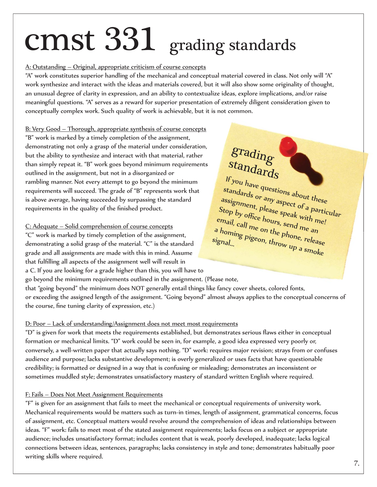## cmst 331 grading standards

#### A: Outstanding – Original, appropriate criticism of course concepts

"A" work constitutes superior handling of the mechanical and conceptual material covered in class. Not only will "A" work synthesize and interact with the ideas and materials covered, but it will also show some originality of thought, an unusual degree of clarity in expression, and an ability to contextualize ideas, explore implications, and/or raise meaningful questions. "A" serves as a reward for superior presentation of extremely diligent consideration given to conceptually complex work. Such quality of work is achievable, but it is not common.

B: Very Good – Thorough, appropriate synthesis of course concepts "B" work is marked by a timely completion of the assignment, demonstrating not only a grasp of the material under consideration, but the ability to synthesize and interact with that material, rather than simply repeat it. "B" work goes beyond minimum requirements outlined in the assignment, but not in a disorganized or rambling manner. Not every attempt to go beyond the minimum requirements will succeed. The grade of "B" represents work that is above average, having succeeded by surpassing the standard requirements in the quality of the finished product.

#### C: Adequate – Solid comprehension of course concepts

"C" work is marked by timely completion of the assignment, demonstrating a solid grasp of the material. "C" is the standard grade and all assignments are made with this in mind. Assume that fulfilling all aspects of the assignment well will result in a C. If you are looking for a grade higher than this, you will have to

### grading standards

If you have questions about these standards or any aspect of a particular assignment, please speak with me! Stop by office hours, send me an email, call me on the phone, release<br>a homing pigeon, throw up a a homing pigeon, the phone, release<br>ignal...<br>all pigeon, throw up a smoke signal...

go beyond the minimum requirements outlined in the assignment. (Please note, that "going beyond" the minimum does NOT generally entail things like fancy cover sheets, colored fonts, or exceeding the assigned length of the assignment. "Going beyond" almost always applies to the conceptual concerns of the course, fine tuning clarity of expression, etc.)

#### D: Poor – Lack of understanding/Assignment does not meet most requirements

"D" is given for work that meets the requirements established, but demonstrates serious flaws either in conceptual formation or mechanical limits. "D" work could be seen in, for example, a good idea expressed very poorly or, conversely, a well-written paper that actually says nothing. "D" work: requires major revision; strays from or confuses audience and purpose; lacks substantive development; is overly generalized or uses facts that have questionable credibility; is formatted or designed in a way that is confusing or misleading; demonstrates an inconsistent or sometimes muddled style; demonstrates unsatisfactory mastery of standard written English where required.

#### F: Fails – Does Not Meet Assignment Requirements

"F" is given for an assignment that fails to meet the mechanical or conceptual requirements of university work. Mechanical requirements would be matters such as turn-in times, length of assignment, grammatical concerns, focus of assignment, etc. Conceptual matters would revolve around the comprehension of ideas and relationships between ideas. "F" work: fails to meet most of the stated assignment requirements; lacks focus on a subject or appropriate audience; includes unsatisfactory format; includes content that is weak, poorly developed, inadequate; lacks logical connections between ideas, sentences, paragraphs; lacks consistency in style and tone; demonstrates habitually poor writing skills where required.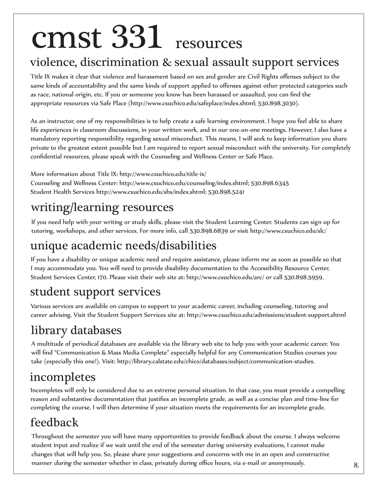## cmst 331 resources

#### violence, discrimination & sexual assault support services

Title IX makes it clear that violence and harassment based on sex and gender are Civil Rights offenses subject to the same kinds of accountability and the same kinds of support applied to offenses against other protected categories such as race, national origin, etc. If you or someone you know has been harassed or assaulted, you can find the appropriate resources via Safe Place (http://www.csuchico.edu/safeplace/index.shtml; 530.898.3030).

As an instructor, one of my responsibilities is to help create a safe learning environment. I hope you feel able to share life experiences in classroom discussions, in your written work, and in our one-on-one meetings. However, I also have a mandatory reporting responsibility regarding sexual misconduct. This means, I will seek to keep information you share private to the greatest extent possible but I am required to report sexual misconduct with the university. For completely confidential resources, please speak with the Counseling and Wellness Center or Safe Place.

More information about Title IX: http://www.csuchico.edu/title-ix/ Counseling and Wellness Center: http://www.csuchico.edu/counseling/index.shtml; 530.898.6345 Student Health Services http://www.csuchico.edu/shs/index.shtml; 530.898.5241

#### writing/learning resources

If you need help with your writing or study skills, please visit the Student Learning Center. Students can sign up for tutoring, workshops, and other services. For more info, call 530.898.6839 or visit http://www.csuchico.edu/slc/

#### unique academic needs/disabilities

If you have a disability or unique academic need and require assistance, please inform me as soon as possible so that I may accommodate you. You will need to provide disability documentation to the Accessibility Resource Center, Student Services Center, 170. Please visit their web site at: http://www.csuchico.edu/arc/ or call 530.898.5959.

#### student support services

Various services are available on campus to support to your academic career, including counseling, tutoring and career advising. Visit the Student Support Services site at: http://www.csuchico.edu/admissions/student-support.shtml

### library databases

A multitude of periodical databases are available via the library web site to help you with your academic career. You will find "Communication & Mass Media Complete" especially helpful for any Communication Studies courses you take (especially this one!). Visit: http://library.calstate.edu/chico/databases/subject/communication-studies.

### incompletes

Incompletes will only be considered due to an extreme personal situation. In that case, you must provide a compelling reason and substantive documentation that justifies an incomplete grade, as well as a concise plan and time-line for completing the course. I will then determine if your situation meets the requirements for an incomplete grade.

### feedback

Throughout the semester you will have many opportunities to provide feedback about the course. I always welcome student input and realize if we wait until the end of the semester during university evaluations, I cannot make changes that will help you. So, please share your suggestions and concerns with me in an open and constructive manner *during* the semester whether in class, privately during office hours, via e-mail or anonymously.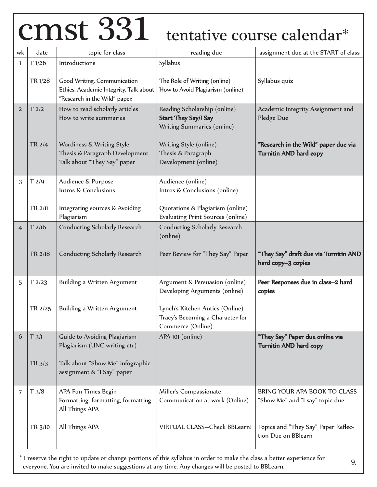## cmst 331 tentative course calendar\*

| wk             | date                                                                                                                                                                                                                              | topic for class                                                                                        | reading due                                                                               | assignment due at the START of class                            |  |  |
|----------------|-----------------------------------------------------------------------------------------------------------------------------------------------------------------------------------------------------------------------------------|--------------------------------------------------------------------------------------------------------|-------------------------------------------------------------------------------------------|-----------------------------------------------------------------|--|--|
| 1              | T1/26                                                                                                                                                                                                                             | Introductions                                                                                          | Syllabus                                                                                  |                                                                 |  |  |
|                | TR 1/28                                                                                                                                                                                                                           | Good Writing. Communication<br>Ethics. Academic Integrity. Talk about<br>"Research in the Wild" paper. | The Role of Writing (online)<br>How to Avoid Plagiarism (online)                          | Syllabus quiz                                                   |  |  |
| $\overline{2}$ | T2/2                                                                                                                                                                                                                              | How to read scholarly articles<br>How to write summaries                                               | Reading Scholarship (online)<br><b>Start They Say/I Say</b><br>Writing Summaries (online) | Academic Integrity Assignment and<br>Pledge Due                 |  |  |
|                | TR 2/4                                                                                                                                                                                                                            | Wordiness & Writing Style<br>Thesis & Paragraph Development<br>Talk about "They Say" paper             | Writing Style (online)<br>Thesis & Paragraph<br>Development (online)                      | "Research in the Wild" paper due via<br>Turnitin AND hard copy  |  |  |
| 3              | T 2/9                                                                                                                                                                                                                             | Audience & Purpose<br>Intros & Conclusions                                                             | Audience (online)<br>Intros & Conclusions (online)                                        |                                                                 |  |  |
|                | TR 2/11                                                                                                                                                                                                                           | Integrating sources & Avoiding<br>Plagiarism                                                           | Quotations & Plagiarism (online)<br>Evaluating Print Sources (online)                     |                                                                 |  |  |
| 4              | T2/16                                                                                                                                                                                                                             | <b>Conducting Scholarly Research</b>                                                                   | Conducting Scholarly Research<br>(online)                                                 |                                                                 |  |  |
|                | TR 2/18                                                                                                                                                                                                                           | <b>Conducting Scholarly Research</b>                                                                   | Peer Review for "They Say" Paper                                                          | "They Say" draft due via Turnitin AND<br>hard copy-3 copies     |  |  |
| 5              | T2/23                                                                                                                                                                                                                             | Building a Written Argument                                                                            | Argument & Persuasion (online)<br>Developing Arguments (online)                           | Peer Responses due in class-2 hard<br>copies                    |  |  |
|                | TR 2/25                                                                                                                                                                                                                           | Building a Written Argument                                                                            | Lynch's Kitchen Antics (Online)<br>Tracy's Becoming a Character for<br>Commerce (Online)  |                                                                 |  |  |
| 6              | T 3/1                                                                                                                                                                                                                             | Guide to Avoiding Plagiarism<br>Plagiarism (UNC writing ctr)                                           | APA 101 (online)                                                                          | "They Say" Paper due online via<br>Turnitin AND hard copy       |  |  |
|                | TR 3/3                                                                                                                                                                                                                            | Talk about "Show Me" infographic<br>assignment & "I Say" paper                                         |                                                                                           |                                                                 |  |  |
| 7              | T3/8                                                                                                                                                                                                                              | APA Fun Times Begin<br>Formatting, formatting, formatting<br>All Things APA                            | Miller's Compassionate<br>Communication at work (Online)                                  | BRING YOUR APA BOOK TO CLASS<br>"Show Me" and "I say" topic due |  |  |
|                | TR 3/10                                                                                                                                                                                                                           | All Things APA                                                                                         | VIRTUAL CLASS--Check BBLearn!                                                             | Topics and "They Say" Paper Reflec-<br>tion Due on BBlearn      |  |  |
|                | * I reserve the right to update or change portions of this syllabus in order to make the class a better experience for<br>9.<br>everyone. You are invited to make suggestions at any time. Any changes will be posted to BBLearn. |                                                                                                        |                                                                                           |                                                                 |  |  |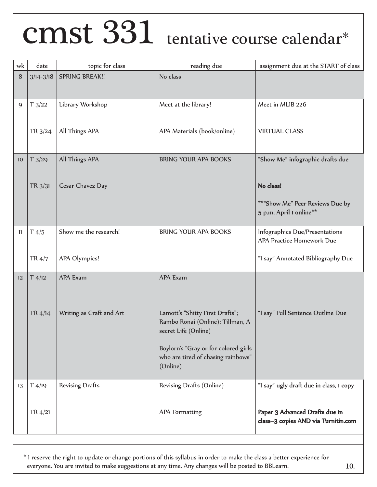## CMSt 331 tentative course calendar\*

| wk               | date          | topic for class          | reading due                                                                                 | assignment due at the START of class                                  |  |
|------------------|---------------|--------------------------|---------------------------------------------------------------------------------------------|-----------------------------------------------------------------------|--|
| 8                | $3/14 - 3/18$ | <b>SPRING BREAK!!</b>    | No class                                                                                    |                                                                       |  |
| 9                | T3/22         | Library Workshop         | Meet at the library!                                                                        | Meet in MLIB 226                                                      |  |
|                  | TR 3/24       | All Things APA           | APA Materials (book/online)                                                                 | <b>VIRTUAL CLASS</b>                                                  |  |
| 10 <sup>10</sup> | T3/29         | All Things APA           | <b>BRING YOUR APA BOOKS</b>                                                                 | "Show Me" infographic drafts due                                      |  |
|                  | TR 3/31       | Cesar Chavez Day         |                                                                                             | No class!                                                             |  |
|                  |               |                          |                                                                                             | ** "Show Me" Peer Reviews Due by<br>5 p.m. April 1 online**           |  |
| 11               | T4/5          | Show me the research!    | <b>BRING YOUR APA BOOKS</b>                                                                 | Infographics Due/Presentations<br>APA Practice Homework Due           |  |
|                  | TR 4/7        | APA Olympics!            |                                                                                             | "I say" Annotated Bibliography Due                                    |  |
| 12               | $T$ 4/12      | <b>APA Exam</b>          | <b>APA Exam</b>                                                                             |                                                                       |  |
|                  | TR 4/14       | Writing as Craft and Art | Lamott's "Shitty First Drafts";<br>Rambo Ronai (Online); Tillman, A<br>secret Life (Online) | "I say" Full Sentence Outline Due                                     |  |
|                  |               |                          | Boylorn's "Gray or for colored girls<br>who are tired of chasing rainbows"<br>(Online)      |                                                                       |  |
| 13               | $T$ 4/19      | <b>Revising Drafts</b>   | Revising Drafts (Online)                                                                    | "I say" ugly draft due in class, 1 copy                               |  |
|                  | TR 4/21       |                          | <b>APA Formatting</b>                                                                       | Paper 3 Advanced Drafts due in<br>class-3 copies AND via Turnitin.com |  |
|                  |               |                          |                                                                                             |                                                                       |  |

\* I reserve the right to update or change portions of this syllabus in order to make the class a better experience for everyone. You are invited to make suggestions at any time. Any changes will be posted to BBLearn.